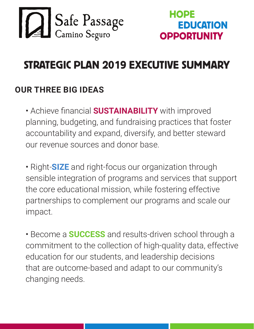



# STRATEGIC PLAN 2019 EXECUTIVE SUMMARY

#### **OUR THREE BIG IDEAS**

• Achieve financial **SUSTAINABILITY** with improved planning, budgeting, and fundraising practices that foster accountability and expand, diversify, and better steward our revenue sources and donor base.

• Right-**SIZE** and right-focus our organization through sensible integration of programs and services that support the core educational mission, while fostering effective partnerships to complement our programs and scale our impact.

• Become a **SUCCESS** and results-driven school through a commitment to the collection of high-quality data, effective education for our students, and leadership decisions that are outcome-based and adapt to our community's changing needs.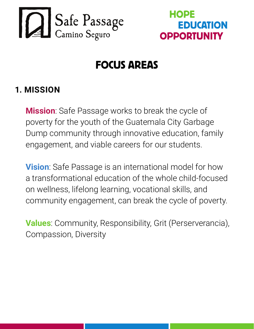



# FOCUS AREAS

#### **1. MISSION**

**Mission**: Safe Passage works to break the cycle of poverty for the youth of the Guatemala City Garbage Dump community through innovative education, family engagement, and viable careers for our students.

**Vision**: Safe Passage is an international model for how a transformational education of the whole child-focused on wellness, lifelong learning, vocational skills, and community engagement, can break the cycle of poverty.

**Values**: Community, Responsibility, Grit (Perserverancia), Compassion, Diversity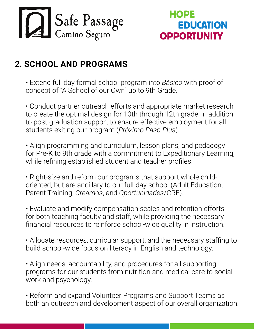

## **2. SCHOOL AND PROGRAMS**

• Extend full day formal school program into *Básico* with proof of concept of "A School of our Own" up to 9th Grade.

• Conduct partner outreach efforts and appropriate market research to create the optimal design for 10th through 12th grade, in addition, to post-graduation support to ensure effective employment for all students exiting our program (*Próximo Paso Plus*).

• Align programming and curriculum, lesson plans, and pedagogy for Pre-K to 9th grade with a commitment to Expeditionary Learning, while refining established student and teacher profiles.

• Right-size and reform our programs that support whole childoriented, but are ancillary to our full-day school (Adult Education, Parent Training, *Creamos*, and *Oportunidades*/CRE).

• Evaluate and modify compensation scales and retention efforts for both teaching faculty and staff, while providing the necessary financial resources to reinforce school-wide quality in instruction.

• Allocate resources, curricular support, and the necessary staffing to build school-wide focus on literacy in English and technology.

• Align needs, accountability, and procedures for all supporting programs for our students from nutrition and medical care to social work and psychology.

• Reform and expand Volunteer Programs and Support Teams as both an outreach and development aspect of our overall organization.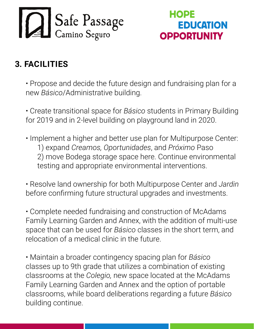

#### **3. FACILITIES**

• Propose and decide the future design and fundraising plan for a new *Básico*/Administrative building.

• Create transitional space for *Básico* students in Primary Building for 2019 and in 2-level building on playground land in 2020.

• Implement a higher and better use plan for Multipurpose Center: 1) expand *Creamos, Oportunidades*, and *Próximo* Paso 2) move Bodega storage space here. Continue environmental testing and appropriate environmental interventions.

• Resolve land ownership for both Multipurpose Center and *Jardin* before confirming future structural upgrades and investments.

• Complete needed fundraising and construction of McAdams Family Learning Garden and Annex, with the addition of multi-use space that can be used for *Básico* classes in the short term, and relocation of a medical clinic in the future.

• Maintain a broader contingency spacing plan for *Básico* classes up to 9th grade that utilizes a combination of existing classrooms at the *Colegio,* new space located at the McAdams Family Learning Garden and Annex and the option of portable classrooms, while board deliberations regarding a future *Básico* building continue.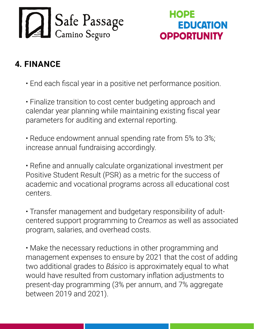

## **4. FINANCE**

• End each fiscal year in a positive net performance position.

• Finalize transition to cost center budgeting approach and calendar year planning while maintaining existing fiscal year parameters for auditing and external reporting.

• Reduce endowment annual spending rate from 5% to 3%; increase annual fundraising accordingly.

• Refine and annually calculate organizational investment per Positive Student Result (PSR) as a metric for the success of academic and vocational programs across all educational cost centers.

• Transfer management and budgetary responsibility of adultcentered support programming to *Creamos* as well as associated program, salaries, and overhead costs.

• Make the necessary reductions in other programming and management expenses to ensure by 2021 that the cost of adding two additional grades to *Básico* is approximately equal to what would have resulted from customary inflation adjustments to present-day programming (3% per annum, and 7% aggregate between 2019 and 2021).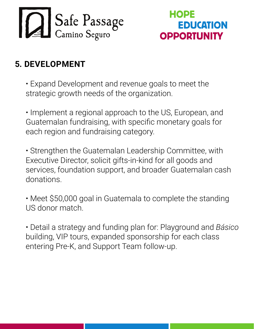

## **5. DEVELOPMENT**

- Expand Development and revenue goals to meet the strategic growth needs of the organization.
- Implement a regional approach to the US, European, and Guatemalan fundraising, with specific monetary goals for each region and fundraising category.
- Strengthen the Guatemalan Leadership Committee, with Executive Director, solicit gifts-in-kind for all goods and services, foundation support, and broader Guatemalan cash donations.
- Meet \$50,000 goal in Guatemala to complete the standing US donor match.
- Detail a strategy and funding plan for: Playground and *Básico* building, VIP tours, expanded sponsorship for each class entering Pre-K, and Support Team follow-up.